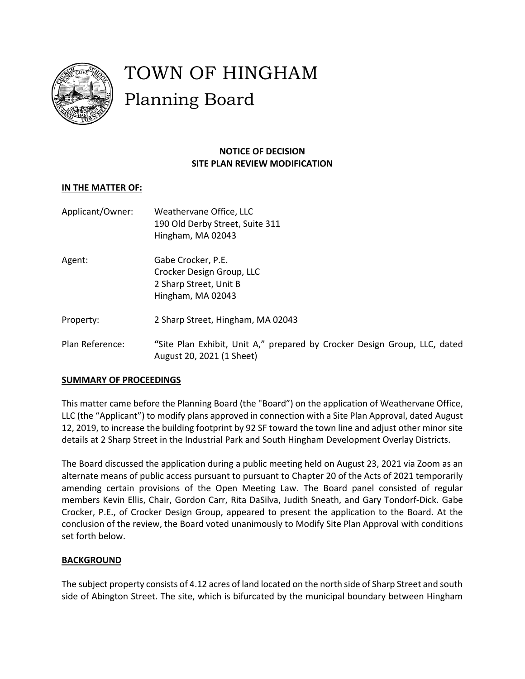

# TOWN OF HINGHAM Planning Board

## **NOTICE OF DECISION SITE PLAN REVIEW MODIFICATION**

### **IN THE MATTER OF:**

| Applicant/Owner: | Weathervane Office, LLC<br>190 Old Derby Street, Suite 311<br>Hingham, MA 02043                |
|------------------|------------------------------------------------------------------------------------------------|
| Agent:           | Gabe Crocker, P.E.<br>Crocker Design Group, LLC<br>2 Sharp Street, Unit B<br>Hingham, MA 02043 |
| Property:        | 2 Sharp Street, Hingham, MA 02043                                                              |
|                  |                                                                                                |

## Plan Reference: **"**Site Plan Exhibit, Unit A," prepared by Crocker Design Group, LLC, dated August 20, 2021 (1 Sheet)

## **SUMMARY OF PROCEEDINGS**

This matter came before the Planning Board (the "Board") on the application of Weathervane Office, LLC (the "Applicant") to modify plans approved in connection with a Site Plan Approval, dated August 12, 2019, to increase the building footprint by 92 SF toward the town line and adjust other minor site details at 2 Sharp Street in the Industrial Park and South Hingham Development Overlay Districts.

The Board discussed the application during a public meeting held on August 23, 2021 via Zoom as an alternate means of public access pursuant to pursuant to Chapter 20 of the Acts of 2021 temporarily amending certain provisions of the Open Meeting Law. The Board panel consisted of regular members Kevin Ellis, Chair, Gordon Carr, Rita DaSilva, Judith Sneath, and Gary Tondorf-Dick. Gabe Crocker, P.E., of Crocker Design Group, appeared to present the application to the Board. At the conclusion of the review, the Board voted unanimously to Modify Site Plan Approval with conditions set forth below.

#### **BACKGROUND**

The subject property consists of 4.12 acres of land located on the north side of Sharp Street and south side of Abington Street. The site, which is bifurcated by the municipal boundary between Hingham